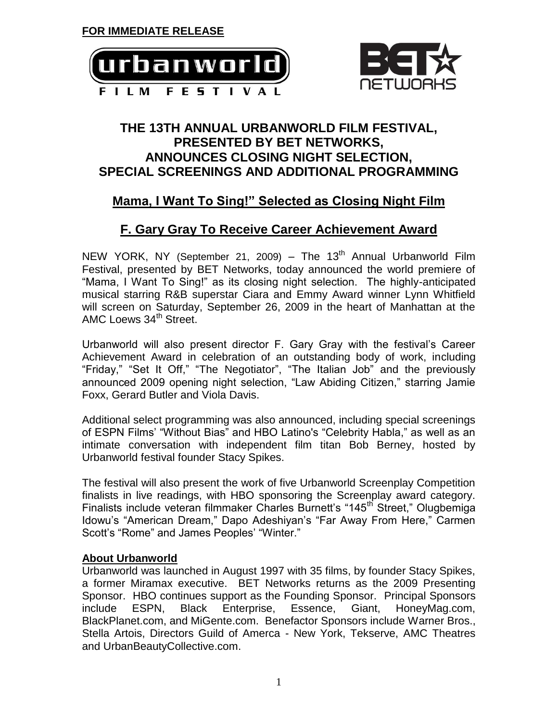



### **THE 13TH ANNUAL URBANWORLD FILM FESTIVAL, PRESENTED BY BET NETWORKS, ANNOUNCES CLOSING NIGHT SELECTION, SPECIAL SCREENINGS AND ADDITIONAL PROGRAMMING**

# **Mama, I Want To Sing!" Selected as Closing Night Film**

# **F. Gary Gray To Receive Career Achievement Award**

NEW YORK, NY (September 21, 2009) – The 13<sup>th</sup> Annual Urbanworld Film Festival, presented by BET Networks, today announced the world premiere of "Mama, I Want To Sing!" as its closing night selection. The highly-anticipated musical starring R&B superstar Ciara and Emmy Award winner Lynn Whitfield will screen on Saturday, September 26, 2009 in the heart of Manhattan at the AMC Loews 34<sup>th</sup> Street.

Urbanworld will also present director F. Gary Gray with the festival's Career Achievement Award in celebration of an outstanding body of work, including "Friday," "Set It Off," "The Negotiator", "The Italian Job" and the previously announced 2009 opening night selection, "Law Abiding Citizen," starring Jamie Foxx, Gerard Butler and Viola Davis.

Additional select programming was also announced, including special screenings of ESPN Films' "Without Bias" and HBO Latino's "Celebrity Habla," as well as an intimate conversation with independent film titan Bob Berney, hosted by Urbanworld festival founder Stacy Spikes.

The festival will also present the work of five Urbanworld Screenplay Competition finalists in live readings, with HBO sponsoring the Screenplay award category. Finalists include veteran filmmaker Charles Burnett's "145<sup>th</sup> Street," Olugbemiga Idowu's "American Dream," Dapo Adeshiyan's "Far Away From Here," Carmen Scott's "Rome" and James Peoples' "Winter."

#### **About Urbanworld**

Urbanworld was launched in August 1997 with 35 films, by founder Stacy Spikes, a former Miramax executive. BET Networks returns as the 2009 Presenting Sponsor. HBO continues support as the Founding Sponsor.Principal Sponsors include ESPN, Black Enterprise, Essence, Giant, HoneyMag.com, BlackPlanet.com, and MiGente.com. Benefactor Sponsors include Warner Bros., Stella Artois, Directors Guild of Amerca - New York, Tekserve, AMC Theatres and UrbanBeautyCollective.com.